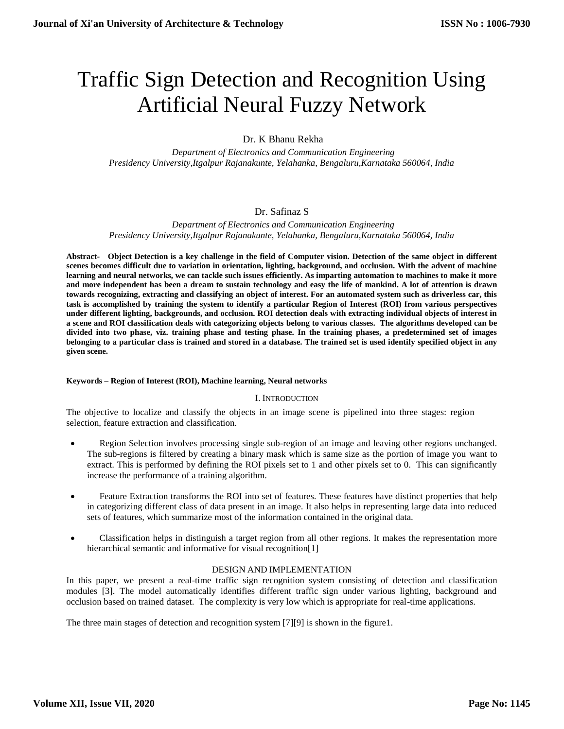# Traffic Sign Detection and Recognition Using Artificial Neural Fuzzy Network

Dr. K Bhanu Rekha

 *Department of Electronics and Communication Engineering Presidency University,Itgalpur Rajanakunte, Yelahanka, Bengaluru,Karnataka 560064, India*

# Dr. Safinaz S

 *Department of Electronics and Communication Engineering Presidency University,Itgalpur Rajanakunte, Yelahanka, Bengaluru,Karnataka 560064, India*

**Abstract- Object Detection is a key challenge in the field of Computer vision. Detection of the same object in different scenes becomes difficult due to variation in orientation, lighting, background, and occlusion. With the advent of machine learning and neural networks, we can tackle such issues efficiently. As imparting automation to machines to make it more and more independent has been a dream to sustain technology and easy the life of mankind. A lot of attention is drawn towards recognizing, extracting and classifying an object of interest. For an automated system such as driverless car, this task is accomplished by training the system to identify a particular Region of Interest (ROI) from various perspectives under different lighting, backgrounds, and occlusion. ROI detection deals with extracting individual objects of interest in a scene and ROI classification deals with categorizing objects belong to various classes. The algorithms developed can be divided into two phase, viz. training phase and testing phase. In the training phases, a predetermined set of images belonging to a particular class is trained and stored in a database. The trained set is used identify specified object in any given scene.**

## **Keywords – Region of Interest (ROI), Machine learning, Neural networks**

# I. INTRODUCTION

The objective to localize and classify the objects in an image scene is pipelined into three stages: region selection, feature extraction and classification.

- Region Selection involves processing single sub-region of an image and leaving other regions unchanged. The sub-regions is filtered by creating a binary mask which is same size as the portion of image you want to extract. This is performed by defining the ROI pixels set to 1 and other pixels set to 0. This can significantly increase the performance of a training algorithm.
- Feature Extraction transforms the ROI into set of features. These features have distinct properties that help in categorizing different class of data present in an image. It also helps in representing large data into reduced sets of features, which summarize most of the information contained in the original data.
- Classification helps in distinguish a target region from all other regions. It makes the representation more hierarchical semantic and informative for visual recognition[1]

# DESIGN AND IMPLEMENTATION

In this paper, we present a real-time traffic sign recognition system consisting of detection and classification modules [3]. The model automatically identifies different traffic sign under various lighting, background and occlusion based on trained dataset. The complexity is very low which is appropriate for real-time applications.

The three main stages of detection and recognition system [7][9] is shown in the figure1.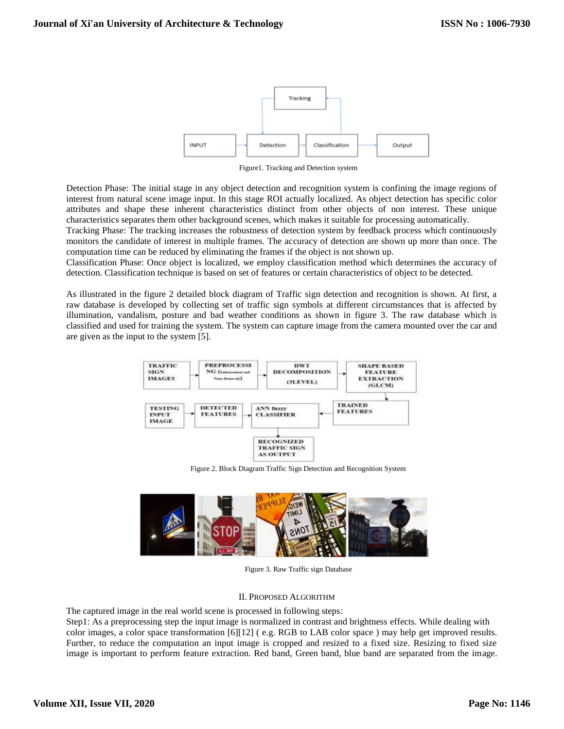

Figure1. Tracking and Detection system

Detection Phase: The initial stage in any object detection and recognition system is confining the image regions of interest from natural scene image input. In this stage ROI actually localized. As object detection has specific color attributes and shape these inherent characteristics distinct from other objects of non interest. These unique characteristics separates them other background scenes, which makes it suitable for processing automatically.

Tracking Phase: The tracking increases the robustness of detection system by feedback process which continuously monitors the candidate of interest in multiple frames. The accuracy of detection are shown up more than once. The computation time can be reduced by eliminating the frames if the object is not shown up.

Classification Phase: Once object is localized, we employ classification method which determines the accuracy of detection. Classification technique is based on set of features or certain characteristics of object to be detected.

As illustrated in the figure 2 detailed block diagram of Traffic sign detection and recognition is shown. At first, a raw database is developed by collecting set of traffic sign symbols at different circumstances that is affected by illumination, vandalism, posture and bad weather conditions as shown in figure 3. The raw database which is classified and used for training the system. The system can capture image from the camera mounted over the car and are given as the input to the system [5].



Figure 2. Block Diagram Traffic Sign Detection and Recognition System



Figure 3. Raw Traffic sign Database

#### II. PROPOSED ALGORITHM

The captured image in the real world scene is processed in following steps:

Step1: As a preprocessing step the input image is normalized in contrast and brightness effects. While dealing with color images, a color space transformation [6][12] ( e.g. RGB to LAB color space ) may help get improved results. Further, to reduce the computation an input image is cropped and resized to a fixed size. Resizing to fixed size image is important to perform feature extraction. Red band, Green band, blue band are separated from the image.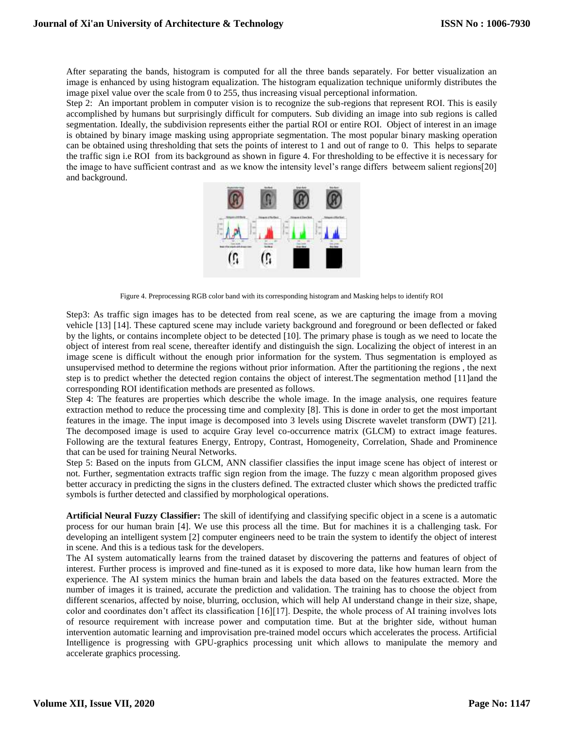After separating the bands, histogram is computed for all the three bands separately. For better visualization an image is enhanced by using histogram equalization. The histogram equalization technique uniformly distributes the image pixel value over the scale from 0 to 255, thus increasing visual perceptional information.

Step 2: An important problem in computer vision is to recognize the sub-regions that represent ROI. This is easily accomplished by humans but surprisingly difficult for computers. Sub dividing an image into sub regions is called segmentation. Ideally, the subdivision represents either the partial ROI or entire ROI. Object of interest in an image is obtained by binary image masking using appropriate segmentation. The most popular binary masking operation can be obtained using thresholding that sets the points of interest to 1 and out of range to 0. This helps to separate the traffic sign i.e ROI from its background as shown in figure 4. For thresholding to be effective it is necessary for the image to have sufficient contrast and as we know the intensity level's range differs betweem salient regions[20] and background.



Figure 4. Preprocessing RGB color band with its corresponding histogram and Masking helps to identify ROI

Step3: As traffic sign images has to be detected from real scene, as we are capturing the image from a moving vehicle [13] [14]. These captured scene may include variety background and foreground or been deflected or faked by the lights, or contains incomplete object to be detected [10]. The primary phase is tough as we need to locate the object of interest from real scene, thereafter identify and distinguish the sign. Localizing the object of interest in an image scene is difficult without the enough prior information for the system. Thus segmentation is employed as unsupervised method to determine the regions without prior information. After the partitioning the regions , the next step is to predict whether the detected region contains the object of interest. The segmentation method [11] and the corresponding ROI identification methods are presented as follows.

Step 4: The features are properties which describe the whole image. In the image analysis, one requires feature extraction method to reduce the processing time and complexity [8]. This is done in order to get the most important features in the image. The input image is decomposed into 3 levels using Discrete wavelet transform (DWT) [21]. The decomposed image is used to acquire Gray level co-occurrence matrix (GLCM) to extract image features. Following are the textural features [Energy,](https://support.echoview.com/WebHelp/Windows_and_Dialog_Boxes/Dialog_Boxes/Variable_properties_dialog_box/Operator_pages/GLCM_Texture_Features.htm#Energy) [Entropy,](https://support.echoview.com/WebHelp/Windows_and_Dialog_Boxes/Dialog_Boxes/Variable_properties_dialog_box/Operator_pages/GLCM_Texture_Features.htm#Entropy) [Contrast,](https://support.echoview.com/WebHelp/Windows_and_Dialog_Boxes/Dialog_Boxes/Variable_properties_dialog_box/Operator_pages/GLCM_Texture_Features.htm#Contrast) [Homogeneity,](https://support.echoview.com/WebHelp/Windows_and_Dialog_Boxes/Dialog_Boxes/Variable_properties_dialog_box/Operator_pages/GLCM_Texture_Features.htm#Homogeneity) [Correlation,](https://support.echoview.com/WebHelp/Windows_and_Dialog_Boxes/Dialog_Boxes/Variable_properties_dialog_box/Operator_pages/GLCM_Texture_Features.htm#Correlation) [Shade](https://support.echoview.com/WebHelp/Windows_and_Dialog_Boxes/Dialog_Boxes/Variable_properties_dialog_box/Operator_pages/GLCM_Texture_Features.htm#Shade) and [Prominence](https://support.echoview.com/WebHelp/Windows_and_Dialog_Boxes/Dialog_Boxes/Variable_properties_dialog_box/Operator_pages/GLCM_Texture_Features.htm#Prominence) that can be used for training Neural Networks.

Step 5: Based on the inputs from GLCM, ANN classifier classifies the input image scene has object of interest or not. Further, segmentation extracts traffic sign region from the image. The fuzzy c mean algorithm proposed gives better accuracy in predicting the signs in the clusters defined. The extracted cluster which shows the predicted traffic symbols is further detected and classified by morphological operations.

**Artificial Neural Fuzzy Classifier:** The skill of identifying and classifying specific object in a scene is a automatic process for our human brain [4]. We use this process all the time. But for machines it is a challenging task. For developing an intelligent system [2] computer engineers need to be train the system to identify the object of interest in scene. And this is a tedious task for the developers.

The AI system automatically learns from the trained dataset by discovering the patterns and features of object of interest. Further process is improved and fine-tuned as it is exposed to more data, like how human learn from the experience. The AI system minics the human brain and labels the data based on the features extracted. More the number of images it is trained, accurate the prediction and validation. The training has to choose the object from different scenarios, affected by noise, blurring, occlusion, which will help AI understand change in their size, shape, color and coordinates don't affect its classification [16][17]. Despite, the whole process of AI training involves lots of resource requirement with increase power and computation time. But at the brighter side, without human intervention automatic learning and improvisation pre-trained model occurs which accelerates the process. Artificial Intelligence is progressing with GPU-graphics processing unit which allows to manipulate the memory and accelerate graphics processing.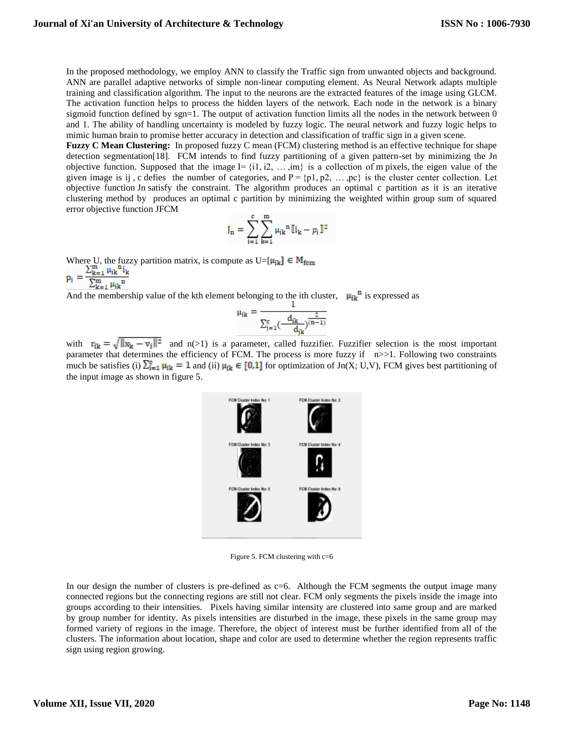In the proposed methodology, we employ ANN to classify the Traffic sign from unwanted objects and background. ANN are parallel adaptive networks of simple non-linear computing element. As Neural Network adapts multiple training and classification algorithm. The input to the neurons are the extracted features of the image using GLCM. The activation function helps to process the hidden layers of the network. Each node in the network is a binary sigmoid function defined by sgn=1. The output of activation function limits all the nodes in the network between  $0$ and 1. The ability of handling uncertainty is modeled by fuzzy logic. The neural network and fuzzy logic helps to mimic human brain to promise better accuracy in detection and classification of traffic sign in a given scene.

**Fuzzy C Mean Clustering:** In proposed fuzzy C mean (FCM) clustering method is an effective technique for shape detection segmentation[18]. FCM intends to find fuzzy partitioning of a given pattern-set by minimizing the Jn objective function. Supposed that the image  $I = \{i1, i2, \ldots, im\}$  is a collection of m pixels, the eigen value of the given image is ij, c defies the number of categories, and  $P = \{p1, p2, \ldots, pc\}$  is the cluster center collection. Let objective function Jn satisfy the constraint. The algorithm produces an optimal c partition as it is an iterative clustering method by produces an optimal c partition by minimizing the weighted within group sum of squared error objective function JFCM

$$
J_n = \sum_{i=1}^c \sum_{k=1}^m \mu_{ik}^n [ \mathbb{I}_{k} - p_i ] \mathbb{I}^2
$$

Where U, the fuzzy partition matrix, is compute as  $U=[\mu_{ik}] \in M_{fcm}$ <br>  $p_i = \frac{\sum_{k=1}^{m} \mu_{ik}^{n_i}}{\sum_{k=1}^{m} \mu_{ik}^{n_i}}$ 

And the membership value of the kth element belonging to the ith cluster,  $\mu_{jk}$ <sup>n</sup> is expressed as

$$
\mu_{ik} = \frac{1}{\sum_{j=1}^{c} \left(\frac{d_{ik}}{d_{jk}}\right)^{\frac{2}{(n-1)}}}
$$

with  $r_{ik} = \sqrt{\|x_k - v_i\|^2}$  and  $n(>1)$  is a parameter, called fuzzifier. Fuzzifier selection is the most important parameter that determines the efficiency of FCM. The process is more fuzzy if  $n>>1$ . Following two constraints much be satisfies (i)  $\sum_{i=1}^{c} \mu_{ik} = 1$  and (ii)  $\mu_{ik} \in [0,1]$  for optimization of Jn(X; U,V), FCM gives best partitioning of the input image as shown in figure 5.



Figure 5. FCM clustering with c=6

In our design the number of clusters is pre-defined as c=6. Although the FCM segments the output image many connected regions but the connecting regions are still not clear. FCM only segments the pixels inside the image into groups according to their intensities. Pixels having similar intensity are clustered into same group and are marked by group number for identity. As pixels intensities are disturbed in the image, these pixels in the same group may formed variety of regions in the image. Therefore, the object of interest must be further identified from all of the clusters. The information about location, shape and color are used to determine whether the region represents traffic sign using region growing.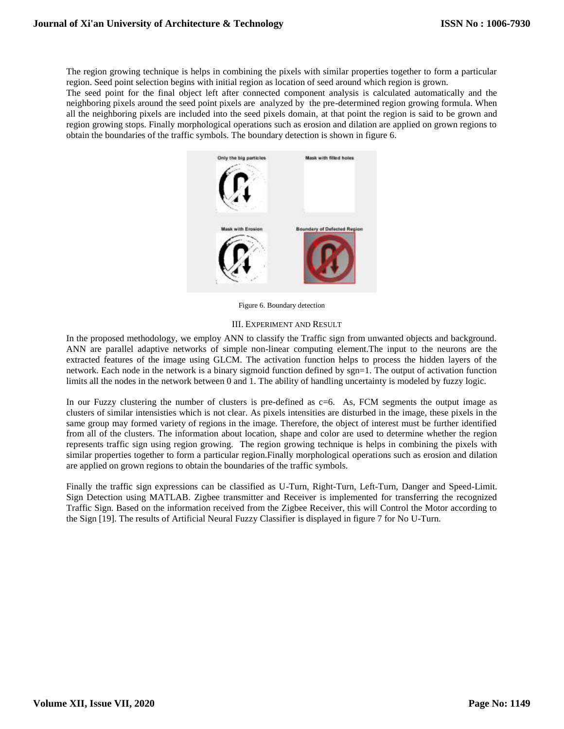The region growing technique is helps in combining the pixels with similar properties together to form a particular region. Seed point selection begins with initial region as location of seed around which region is grown.

The seed point for the final object left after connected component analysis is calculated automatically and the neighboring pixels around the seed point pixels are analyzed by the pre-determined region growing formula. When all the neighboring pixels are included into the seed pixels domain, at that point the region is said to be grown and region growing stops. Finally morphological operations such as erosion and dilation are applied on grown regions to obtain the boundaries of the traffic symbols. The boundary detection is shown in figure 6.



Figure 6. Boundary detection

## III. EXPERIMENT AND RESULT

In the proposed methodology, we employ ANN to classify the Traffic sign from unwanted objects and background. ANN are parallel adaptive networks of simple non-linear computing element.The input to the neurons are the extracted features of the image using GLCM. The activation function helps to process the hidden layers of the network. Each node in the network is a binary sigmoid function defined by sgn=1. The output of activation function limits all the nodes in the network between 0 and 1. The ability of handling uncertainty is modeled by fuzzy logic.

In our Fuzzy clustering the number of clusters is pre-defined as  $c=6$ . As, FCM segments the output image as clusters of similar intensisties which is not clear. As pixels intensities are disturbed in the image, these pixels in the same group may formed variety of regions in the image. Therefore, the object of interest must be further identified from all of the clusters. The information about location, shape and color are used to determine whether the region represents traffic sign using region growing. The region growing technique is helps in combining the pixels with similar properties together to form a particular region.Finally morphological operations such as erosion and dilation are applied on grown regions to obtain the boundaries of the traffic symbols.

Finally the traffic sign expressions can be classified as U-Turn, Right-Turn, Left-Turn, Danger and Speed-Limit. Sign Detection using MATLAB. Zigbee transmitter and Receiver is implemented for transferring the recognized Traffic Sign. Based on the information received from the Zigbee Receiver, this will Control the Motor according to the Sign [19]. The results of Artificial Neural Fuzzy Classifier is displayed in figure 7 for No U-Turn.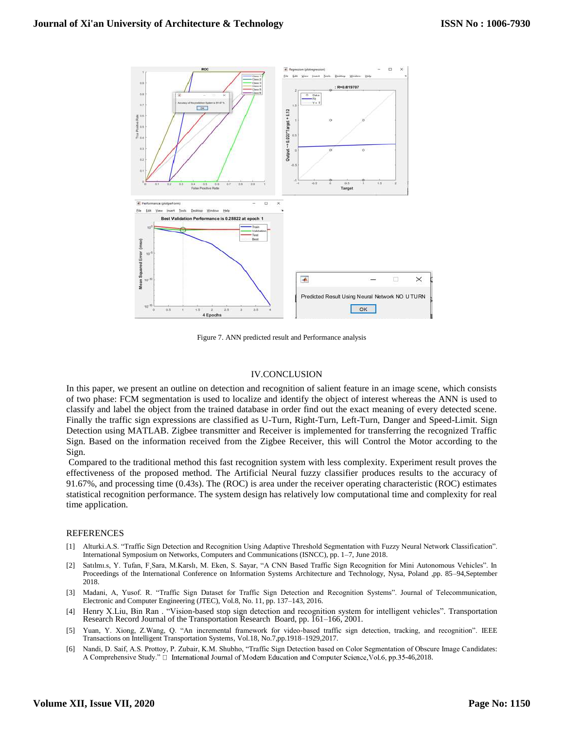

Figure 7. ANN predicted result and Performance analysis

## IV.CONCLUSION

In this paper, we present an outline on detection and recognition of salient feature in an image scene, which consists of two phase: FCM segmentation is used to localize and identify the object of interest whereas the ANN is used to classify and label the object from the trained database in order find out the exact meaning of every detected scene. Finally the traffic sign expressions are classified as U-Turn, Right-Turn, Left-Turn, Danger and Speed-Limit. Sign Detection using MATLAB. Zigbee transmitter and Receiver is implemented for transferring the recognized Traffic Sign. Based on the information received from the Zigbee Receiver, this will Control the Motor according to the Sign.

Compared to the traditional method this fast recognition system with less complexity. Experiment result proves the effectiveness of the proposed method. The Artificial Neural fuzzy classifier produces results to the accuracy of 91.67%, and processing time (0.43s). The (ROC) is area under the receiver operating characteristic (ROC) estimates statistical recognition performance. The system design has relatively low computational time and complexity for real time application.

## REFERENCES

- [1] Alturki.A.S. "Traffic Sign Detection and Recognition Using Adaptive Threshold Segmentation with Fuzzy Neural Network Classification". International Symposium on Networks, Computers and Communications (ISNCC), pp. 1–7, June 2018.
- [2] Satılmı.s, Y. Tufan, F¸Sara, M.Karslı, M. Eken, S. Sayar, "A CNN Based Traffic Sign Recognition for Mini Autonomous Vehicles". In Proceedings of the International Conference on Information Systems Architecture and Technology, Nysa, Poland ,pp. 85–94,September 2018.
- [3] Madani, A, Yusof. R. "Traffic Sign Dataset for Traffic Sign Detection and Recognition Systems". Journal of Telecommunication, Electronic and Computer Engineering (JTEC), Vol.8, No. 11, pp. 137–143, 2016.
- [4] Henry X.Liu, Bin Ran . "Vision-based stop sign detection and recognition system for intelligent vehicles". [Transportation](https://www.researchgate.net/journal/0361-1981_Transportation_Research_Record_Journal_of_the_Transportation_Research_Board)  [Research Record Journal of the Transportation Research](https://www.researchgate.net/journal/0361-1981_Transportation_Research_Record_Journal_of_the_Transportation_Research_Board) Board, pp. 161–166, 2001.
- [5] Yuan, Y. Xiong, Z.Wang, Q. "An incremental framework for video-based traffic sign detection, tracking, and recognition". [IEEE](https://ieeexplore.ieee.org/xpl/RecentIssue.jsp?punumber=6979)  [Transactions on Intelligent Transportation Systems,](https://ieeexplore.ieee.org/xpl/RecentIssue.jsp?punumber=6979) Vol.18, No.7,pp.1918–1929,2017.
- [6] Nandi, D. Saif, A.S. Prottoy, P. Zubair, K.M. Shubho, "Traffic Sign Detection based on Color Segmentation of Obscure Image Candidates: A Comprehensive Study."  $\Box$  International Journal of Modern Education and Computer Science, Vol.6, pp.35-46,2018.